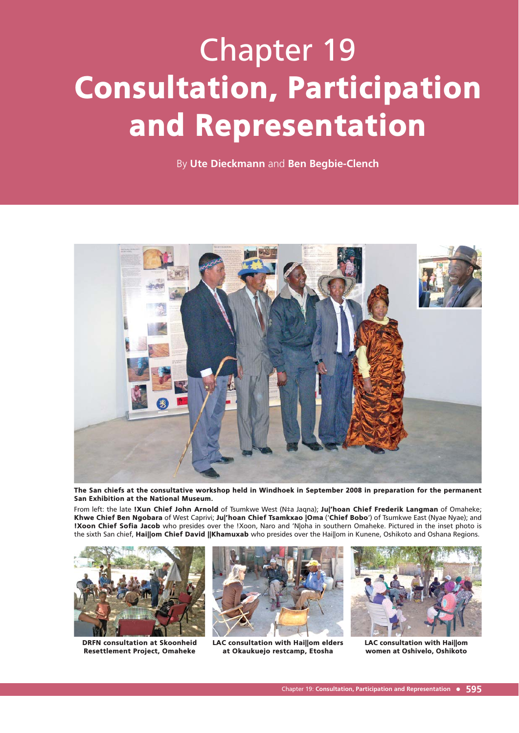# Chapter 19 Consultation, Participation and Representation

By **Ute Dieckmann** and **Ben Begbie-Clench**



The San chiefs at the consultative workshop held in Windhoek in September 2008 in preparation for the permanent San Exhibition at the National Museum.

From left: the late !Xun Chief John Arnold of Tsumkwe West (N‡a Jaqna); Jul'hoan Chief Frederik Langman of Omaheke; Khwe Chief Ben Ngobara of West Caprivi; Ju|'hoan Chief Tsamkxao |Oma ('Chief Bobo') of Tsumkwe East (Nyae Nyae); and !Xoon Chief Sofia Jacob who presides over the !Xoon, Naro and 'N|oha in southern Omaheke. Pictured in the inset photo is the sixth San chief, Hai||om Chief David ||Khamuxab who presides over the Hai||om in Kunene, Oshikoto and Oshana Regions.



DRFN consultation at Skoonheid Resettlement Project, Omaheke



LAC consultation with Hai||om elders at Okaukuejo restcamp, Etosha



LAC consultation with Hai||om women at Oshivelo, Oshikoto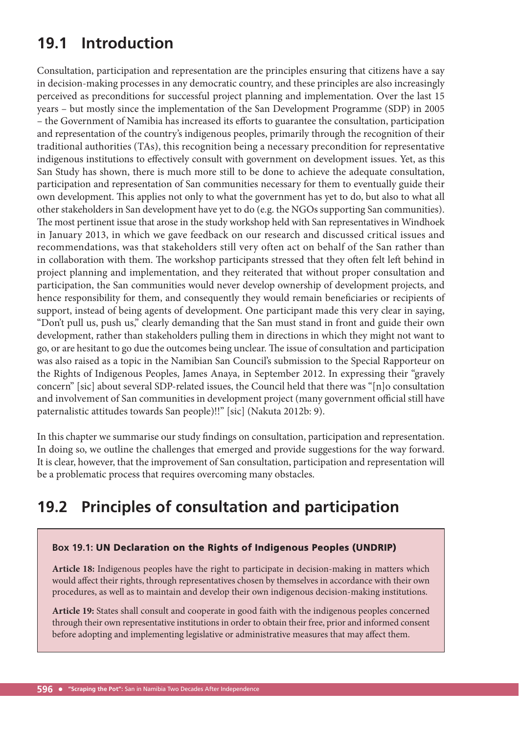# **19.1 Introduction**

Consultation, participation and representation are the principles ensuring that citizens have a say in decision-making processes in any democratic country, and these principles are also increasingly perceived as preconditions for successful project planning and implementation. Over the last 15 years – but mostly since the implementation of the San Development Programme (SDP) in 2005 – the Government of Namibia has increased its efforts to guarantee the consultation, participation and representation of the country's indigenous peoples, primarily through the recognition of their traditional authorities (TAs), this recognition being a necessary precondition for representative indigenous institutions to effectively consult with government on development issues. Yet, as this San Study has shown, there is much more still to be done to achieve the adequate consultation, participation and representation of San communities necessary for them to eventually guide their own development. This applies not only to what the government has yet to do, but also to what all other stakeholders in San development have yet to do (e.g. the NGOs supporting San communities). The most pertinent issue that arose in the study workshop held with San representatives in Windhoek in January 2013, in which we gave feedback on our research and discussed critical issues and recommendations, was that stakeholders still very often act on behalf of the San rather than in collaboration with them. The workshop participants stressed that they often felt left behind in project planning and implementation, and they reiterated that without proper consultation and participation, the San communities would never develop ownership of development projects, and hence responsibility for them, and consequently they would remain beneficiaries or recipients of support, instead of being agents of development. One participant made this very clear in saying, "Don't pull us, push us," clearly demanding that the San must stand in front and guide their own development, rather than stakeholders pulling them in directions in which they might not want to go, or are hesitant to go due the outcomes being unclear. The issue of consultation and participation was also raised as a topic in the Namibian San Council's submission to the Special Rapporteur on the Rights of Indigenous Peoples, James Anaya, in September 2012. In expressing their "gravely concern" [sic] about several SDP-related issues, the Council held that there was "[n]o consultation and involvement of San communities in development project (many government official still have paternalistic attitudes towards San people)!!" [sic] (Nakuta 2012b: 9).

In this chapter we summarise our study findings on consultation, participation and representation. In doing so, we outline the challenges that emerged and provide suggestions for the way forward. It is clear, however, that the improvement of San consultation, participation and representation will be a problematic process that requires overcoming many obstacles.

# **19.2 Principles of consultation and participation**

#### **Box 19.1:** UN Declaration on the Rights of Indigenous Peoples (UNDRIP)

**Article 18:** Indigenous peoples have the right to participate in decision-making in matters which would affect their rights, through representatives chosen by themselves in accordance with their own procedures, as well as to maintain and develop their own indigenous decision-making institutions.

**Article 19:** States shall consult and cooperate in good faith with the indigenous peoples concerned through their own representative institutions in order to obtain their free, prior and informed consent before adopting and implementing legislative or administrative measures that may affect them.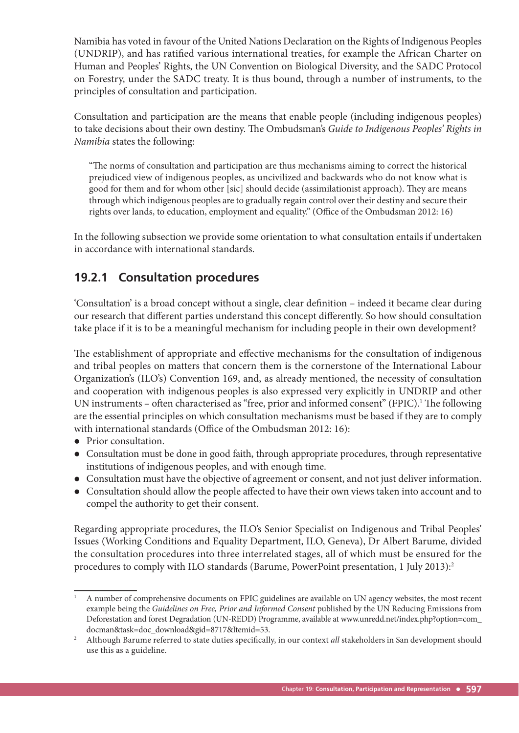Namibia has voted in favour of the United Nations Declaration on the Rights of Indigenous Peoples (UNDRIP), and has ratified various international treaties, for example the African Charter on Human and Peoples' Rights, the UN Convention on Biological Diversity, and the SADC Protocol on Forestry, under the SADC treaty. It is thus bound, through a number of instruments, to the principles of consultation and participation.

Consultation and participation are the means that enable people (including indigenous peoples) to take decisions about their own destiny. The Ombudsman's *Guide to Indigenous Peoples' Rights in Namibia* states the following:

"The norms of consultation and participation are thus mechanisms aiming to correct the historical prejudiced view of indigenous peoples, as uncivilized and backwards who do not know what is good for them and for whom other [sic] should decide (assimilationist approach). They are means through which indigenous peoples are to gradually regain control over their destiny and secure their rights over lands, to education, employment and equality." (Office of the Ombudsman 2012: 16)

In the following subsection we provide some orientation to what consultation entails if undertaken in accordance with international standards.

### **19.2.1 Consultation procedures**

'Consultation' is a broad concept without a single, clear definition – indeed it became clear during our research that different parties understand this concept differently. So how should consultation take place if it is to be a meaningful mechanism for including people in their own development?

The establishment of appropriate and effective mechanisms for the consultation of indigenous and tribal peoples on matters that concern them is the cornerstone of the International Labour Organization's (ILO's) Convention 169, and, as already mentioned, the necessity of consultation and cooperation with indigenous peoples is also expressed very explicitly in UNDRIP and other UN instruments - often characterised as "free, prior and informed consent" (FPIC).<sup>1</sup> The following are the essential principles on which consultation mechanisms must be based if they are to comply with international standards (Office of the Ombudsman 2012: 16):

- Prior consultation.
- Consultation must be done in good faith, through appropriate procedures, through representative institutions of indigenous peoples, and with enough time.
- Consultation must have the objective of agreement or consent, and not just deliver information.
- Consultation should allow the people affected to have their own views taken into account and to compel the authority to get their consent.

Regarding appropriate procedures, the ILO's Senior Specialist on Indigenous and Tribal Peoples' Issues (Working Conditions and Equality Department, ILO, Geneva), Dr Albert Barume, divided the consultation procedures into three interrelated stages, all of which must be ensured for the procedures to comply with ILO standards (Barume, PowerPoint presentation, 1 July 2013):<sup>2</sup>

<sup>1</sup> A number of comprehensive documents on FPIC guidelines are available on UN agency websites, the most recent example being the *Guidelines on Free, Prior and Informed Consent* published by the UN Reducing Emissions from Deforestation and forest Degradation (UN-REDD) Programme, available at www.unredd.net/index.php?option=com\_ docman&task=doc\_download&gid=8717&Itemid=53.

Although Barume referred to state duties specifically, in our context *all* stakeholders in San development should use this as a guideline.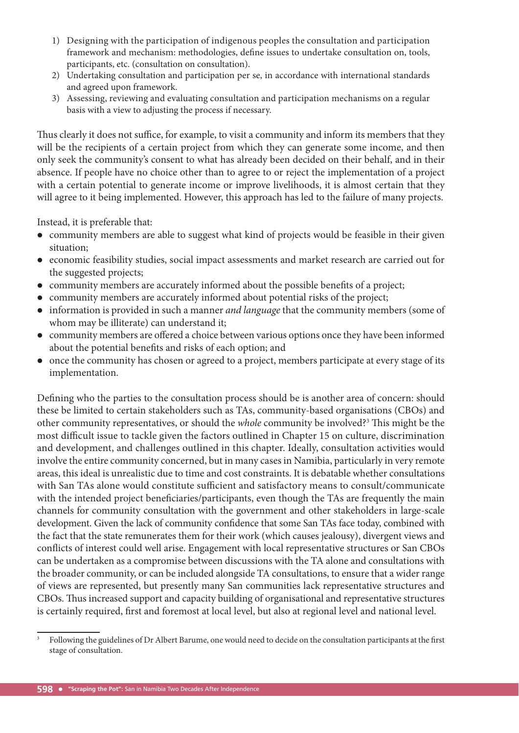- 1) Designing with the participation of indigenous peoples the consultation and participation framework and mechanism: methodologies, define issues to undertake consultation on, tools, participants, etc. (consultation on consultation).
- 2) Undertaking consultation and participation per se, in accordance with international standards and agreed upon framework.
- 3) Assessing, reviewing and evaluating consultation and participation mechanisms on a regular basis with a view to adjusting the process if necessary.

Thus clearly it does not suffice, for example, to visit a community and inform its members that they will be the recipients of a certain project from which they can generate some income, and then only seek the community's consent to what has already been decided on their behalf, and in their absence. If people have no choice other than to agree to or reject the implementation of a project with a certain potential to generate income or improve livelihoods, it is almost certain that they will agree to it being implemented. However, this approach has led to the failure of many projects.

Instead, it is preferable that:

- community members are able to suggest what kind of projects would be feasible in their given situation;
- economic feasibility studies, social impact assessments and market research are carried out for the suggested projects;
- $\bullet$  community members are accurately informed about the possible benefits of a project;
- community members are accurately informed about potential risks of the project;
- information is provided in such a manner *and language* that the community members (some of whom may be illiterate) can understand it;
- community members are offered a choice between various options once they have been informed about the potential benefits and risks of each option; and
- once the community has chosen or agreed to a project, members participate at every stage of its implementation.

Defining who the parties to the consultation process should be is another area of concern: should these be limited to certain stakeholders such as TAs, community-based organisations (CBOs) and other community representatives, or should the *whole* community be involved?<sup>3</sup> This might be the most difficult issue to tackle given the factors outlined in Chapter 15 on culture, discrimination and development, and challenges outlined in this chapter. Ideally, consultation activities would involve the entire community concerned, but in many cases in Namibia, particularly in very remote areas, this ideal is unrealistic due to time and cost constraints. It is debatable whether consultations with San TAs alone would constitute sufficient and satisfactory means to consult/communicate with the intended project beneficiaries/participants, even though the TAs are frequently the main channels for community consultation with the government and other stakeholders in large-scale development. Given the lack of community confidence that some San TAs face today, combined with the fact that the state remunerates them for their work (which causes jealousy), divergent views and conflicts of interest could well arise. Engagement with local representative structures or San CBOs can be undertaken as a compromise between discussions with the TA alone and consultations with the broader community, or can be included alongside TA consultations, to ensure that a wider range of views are represented, but presently many San communities lack representative structures and CBOs. Thus increased support and capacity building of organisational and representative structures is certainly required, first and foremost at local level, but also at regional level and national level.

<sup>3</sup> Following the guidelines of Dr Albert Barume, one would need to decide on the consultation participants at the first stage of consultation.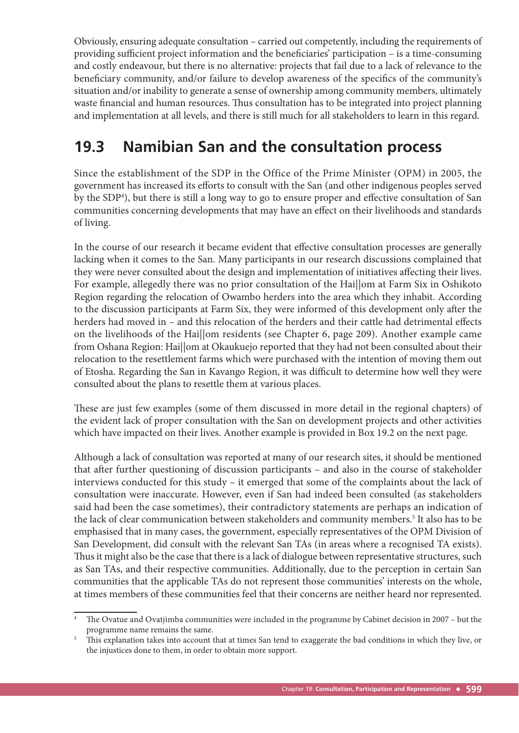Obviously, ensuring adequate consultation – carried out competently, including the requirements of providing sufficient project information and the beneficiaries' participation – is a time-consuming and costly endeavour, but there is no alternative: projects that fail due to a lack of relevance to the beneficiary community, and/or failure to develop awareness of the specifics of the community's situation and/or inability to generate a sense of ownership among community members, ultimately waste financial and human resources. Thus consultation has to be integrated into project planning and implementation at all levels, and there is still much for all stakeholders to learn in this regard.

# **19.3 Namibian San and the consultation process**

Since the establishment of the SDP in the Office of the Prime Minister (OPM) in 2005, the government has increased its efforts to consult with the San (and other indigenous peoples served by the SDP<sup>4</sup>), but there is still a long way to go to ensure proper and effective consultation of San communities concerning developments that may have an effect on their livelihoods and standards of living.

In the course of our research it became evident that effective consultation processes are generally lacking when it comes to the San. Many participants in our research discussions complained that they were never consulted about the design and implementation of initiatives affecting their lives. For example, allegedly there was no prior consultation of the Hai||om at Farm Six in Oshikoto Region regarding the relocation of Owambo herders into the area which they inhabit. According to the discussion participants at Farm Six, they were informed of this development only after the herders had moved in - and this relocation of the herders and their cattle had detrimental effects on the livelihoods of the Hai||om residents (see Chapter 6, page 209). Another example came from Oshana Region: Hai||om at Okaukuejo reported that they had not been consulted about their relocation to the resettlement farms which were purchased with the intention of moving them out of Etosha. Regarding the San in Kavango Region, it was difficult to determine how well they were consulted about the plans to resettle them at various places.

These are just few examples (some of them discussed in more detail in the regional chapters) of the evident lack of proper consultation with the San on development projects and other activities which have impacted on their lives. Another example is provided in Box 19.2 on the next page.

Although a lack of consultation was reported at many of our research sites, it should be mentioned that after further questioning of discussion participants – and also in the course of stakeholder interviews conducted for this study – it emerged that some of the complaints about the lack of consultation were inaccurate. However, even if San had indeed been consulted (as stakeholders said had been the case sometimes), their contradictory statements are perhaps an indication of the lack of clear communication between stakeholders and community members.<sup>5</sup> It also has to be emphasised that in many cases, the government, especially representatives of the OPM Division of San Development, did consult with the relevant San TAs (in areas where a recognised TA exists). Thus it might also be the case that there is a lack of dialogue between representative structures, such as San TAs, and their respective communities. Additionally, due to the perception in certain San communities that the applicable TAs do not represent those communities' interests on the whole, at times members of these communities feel that their concerns are neither heard nor represented.

The Ovatue and Ovatjimba communities were included in the programme by Cabinet decision in 2007 – but the programme name remains the same.

<sup>5</sup> This explanation takes into account that at times San tend to exaggerate the bad conditions in which they live, or the injustices done to them, in order to obtain more support.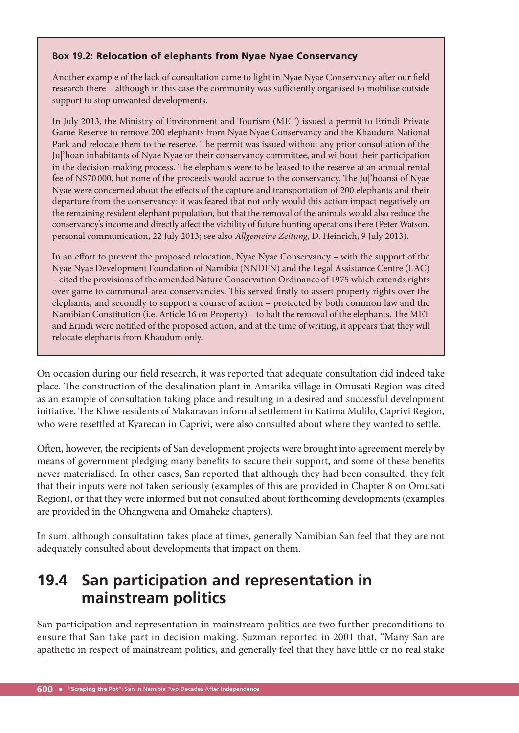#### **Box 19.2:** Relocation of elephants from Nyae Nyae Conservancy

Another example of the lack of consultation came to light in Nyae Nyae Conservancy after our field research there - although in this case the community was sufficiently organised to mobilise outside support to stop unwanted developments.

In July 2013, the Ministry of Environment and Tourism (MET) issued a permit to Erindi Private Game Reserve to remove 200 elephants from Nyae Nyae Conservancy and the Khaudum National Park and relocate them to the reserve. The permit was issued without any prior consultation of the Ju|'hoan inhabitants of Nyae Nyae or their conservancy committee, and without their participation in the decision-making process. The elephants were to be leased to the reserve at an annual rental fee of N\$70 000, but none of the proceeds would accrue to the conservancy. The Jul'hoansi of Nyae Nyae were concerned about the effects of the capture and transportation of 200 elephants and their departure from the conservancy: it was feared that not only would this action impact negatively on the remaining resident elephant population, but that the removal of the animals would also reduce the conservancy's income and directly affect the viability of future hunting operations there (Peter Watson, personal communication, 22 July 2013; see also *Allgemeine Zeitung*, D. Heinrich, 9 July 2013).

In an effort to prevent the proposed relocation, Nyae Nyae Conservancy – with the support of the Nyae Nyae Development Foundation of Namibia (NNDFN) and the Legal Assistance Centre (LAC) – cited the provisions of the amended Nature Conservation Ordinance of 1975 which extends rights over game to communal-area conservancies. This served firstly to assert property rights over the elephants, and secondly to support a course of action – protected by both common law and the Namibian Constitution (i.e. Article 16 on Property) – to halt the removal of the elephants. The MET and Erindi were notified of the proposed action, and at the time of writing, it appears that they will relocate elephants from Khaudum only.

On occasion during our field research, it was reported that adequate consultation did indeed take place. The construction of the desalination plant in Amarika village in Omusati Region was cited as an example of consultation taking place and resulting in a desired and successful development initiative. The Khwe residents of Makaravan informal settlement in Katima Mulilo, Caprivi Region, who were resettled at Kyarecan in Caprivi, were also consulted about where they wanted to settle.

Often, however, the recipients of San development projects were brought into agreement merely by means of government pledging many benefits to secure their support, and some of these benefits never materialised. In other cases, San reported that although they had been consulted, they felt that their inputs were not taken seriously (examples of this are provided in Chapter 8 on Omusati Region), or that they were informed but not consulted about forthcoming developments (examples are provided in the Ohangwena and Omaheke chapters).

In sum, although consultation takes place at times, generally Namibian San feel that they are not adequately consulted about developments that impact on them.

### **19.4 San participation and representation in mainstream politics**

San participation and representation in mainstream politics are two further preconditions to ensure that San take part in decision making. Suzman reported in 2001 that, "Many San are apathetic in respect of mainstream politics, and generally feel that they have little or no real stake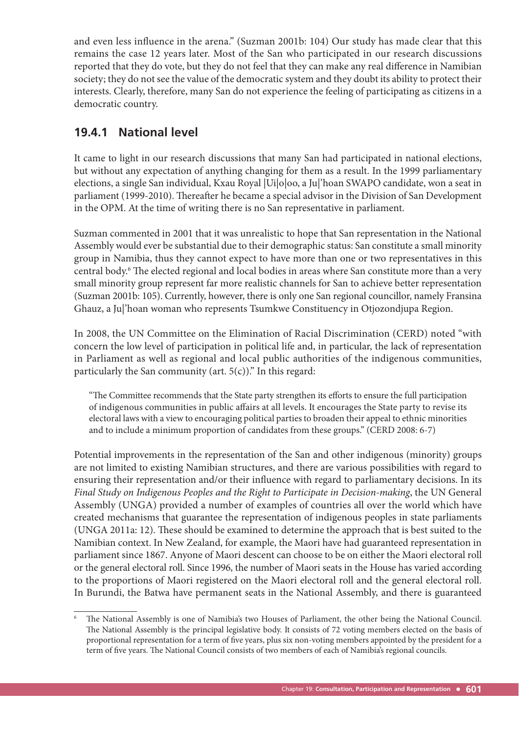and even less influence in the arena." (Suzman 2001b: 104) Our study has made clear that this remains the case 12 years later. Most of the San who participated in our research discussions reported that they do vote, but they do not feel that they can make any real difference in Namibian society; they do not see the value of the democratic system and they doubt its ability to protect their interests. Clearly, therefore, many San do not experience the feeling of participating as citizens in a democratic country.

### **19.4.1 National level**

It came to light in our research discussions that many San had participated in national elections, but without any expectation of anything changing for them as a result. In the 1999 parliamentary elections, a single San individual, Kxau Royal |Ui|o|oo, a Ju|'hoan SWAPO candidate, won a seat in parliament (1999-2010). Thereafter he became a special advisor in the Division of San Development in the OPM. At the time of writing there is no San representative in parliament.

Suzman commented in 2001 that it was unrealistic to hope that San representation in the National Assembly would ever be substantial due to their demographic status: San constitute a small minority group in Namibia, thus they cannot expect to have more than one or two representatives in this central body.<sup>6</sup> The elected regional and local bodies in areas where San constitute more than a very small minority group represent far more realistic channels for San to achieve better representation (Suzman 2001b: 105). Currently, however, there is only one San regional councillor, namely Fransina Ghauz, a Ju|'hoan woman who represents Tsumkwe Constituency in Otjozondjupa Region.

In 2008, the UN Committee on the Elimination of Racial Discrimination (CERD) noted "with concern the low level of participation in political life and, in particular, the lack of representation in Parliament as well as regional and local public authorities of the indigenous communities, particularly the San community (art.  $5(c)$ )." In this regard:

"The Committee recommends that the State party strengthen its efforts to ensure the full participation of indigenous communities in public affairs at all levels. It encourages the State party to revise its electoral laws with a view to encouraging political parties to broaden their appeal to ethnic minorities and to include a minimum proportion of candidates from these groups." (CERD 2008: 6-7)

Potential improvements in the representation of the San and other indigenous (minority) groups are not limited to existing Namibian structures, and there are various possibilities with regard to ensuring their representation and/or their influence with regard to parliamentary decisions. In its *Final Study on Indigenous Peoples and the Right to Participate in Decision-making*, the UN General Assembly (UNGA) provided a number of examples of countries all over the world which have created mechanisms that guarantee the representation of indigenous peoples in state parliaments (UNGA 2011a: 12). These should be examined to determine the approach that is best suited to the Namibian context. In New Zealand, for example, the Maori have had guaranteed representation in parliament since 1867. Anyone of Maori descent can choose to be on either the Maori electoral roll or the general electoral roll. Since 1996, the number of Maori seats in the House has varied according to the proportions of Maori registered on the Maori electoral roll and the general electoral roll. In Burundi, the Batwa have permanent seats in the National Assembly, and there is guaranteed

The National Assembly is one of Namibia's two Houses of Parliament, the other being the National Council. The National Assembly is the principal legislative body. It consists of 72 voting members elected on the basis of proportional representation for a term of five years, plus six non-voting members appointed by the president for a term of five years. The National Council consists of two members of each of Namibia's regional councils.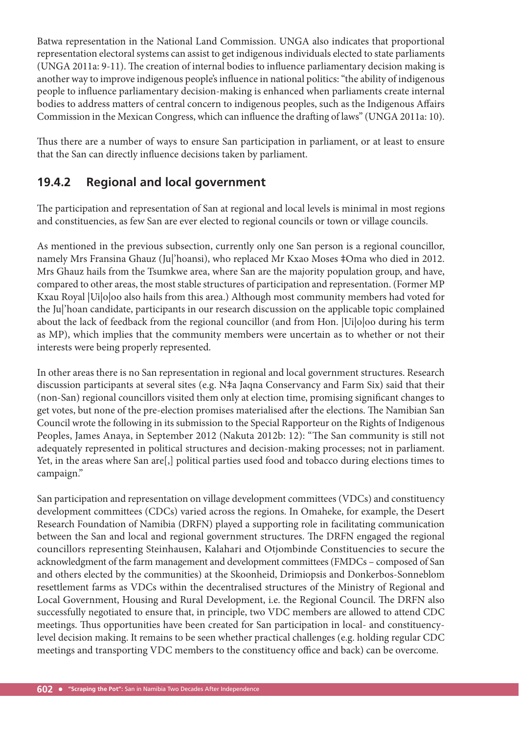Batwa representation in the National Land Commission. UNGA also indicates that proportional representation electoral systems can assist to get indigenous individuals elected to state parliaments (UNGA 2011a: 9-11). The creation of internal bodies to influence parliamentary decision making is another way to improve indigenous people's influence in national politics: "the ability of indigenous people to influence parliamentary decision-making is enhanced when parliaments create internal bodies to address matters of central concern to indigenous peoples, such as the Indigenous Affairs Commission in the Mexican Congress, which can influence the drafting of laws" (UNGA 2011a: 10).

Thus there are a number of ways to ensure San participation in parliament, or at least to ensure that the San can directly influence decisions taken by parliament.

### **19.4.2 Regional and local government**

The participation and representation of San at regional and local levels is minimal in most regions and constituencies, as few San are ever elected to regional councils or town or village councils.

As mentioned in the previous subsection, currently only one San person is a regional councillor, namely Mrs Fransina Ghauz (Ju|'hoansi), who replaced Mr Kxao Moses ‡Oma who died in 2012. Mrs Ghauz hails from the Tsumkwe area, where San are the majority population group, and have, compared to other areas, the most stable structures of participation and representation. (Former MP Kxau Royal |Ui|o|oo also hails from this area.) Although most community members had voted for the Ju|'hoan candidate, participants in our research discussion on the applicable topic complained about the lack of feedback from the regional councillor (and from Hon. |Ui|o|oo during his term as MP), which implies that the community members were uncertain as to whether or not their interests were being properly represented.

In other areas there is no San representation in regional and local government structures. Research discussion participants at several sites (e.g. N‡a Jaqna Conservancy and Farm Six) said that their (non-San) regional councillors visited them only at election time, promising significant changes to get votes, but none of the pre-election promises materialised after the elections. The Namibian San Council wrote the following in its submission to the Special Rapporteur on the Rights of Indigenous Peoples, James Anaya, in September 2012 (Nakuta 2012b: 12): "The San community is still not adequately represented in political structures and decision-making processes; not in parliament. Yet, in the areas where San are[,] political parties used food and tobacco during elections times to campaign."

San participation and representation on village development committees (VDCs) and constituency development committees (CDCs) varied across the regions. In Omaheke, for example, the Desert Research Foundation of Namibia (DRFN) played a supporting role in facilitating communication between the San and local and regional government structures. The DRFN engaged the regional councillors representing Steinhausen, Kalahari and Otjombinde Constituencies to secure the acknowledgment of the farm management and development committees (FMDCs – composed of San and others elected by the communities) at the Skoonheid, Drimiopsis and Donkerbos-Sonneblom resettlement farms as VDCs within the decentralised structures of the Ministry of Regional and Local Government, Housing and Rural Development, i.e. the Regional Council. The DRFN also successfully negotiated to ensure that, in principle, two VDC members are allowed to attend CDC meetings. Thus opportunities have been created for San participation in local- and constituencylevel decision making. It remains to be seen whether practical challenges (e.g. holding regular CDC meetings and transporting VDC members to the constituency office and back) can be overcome.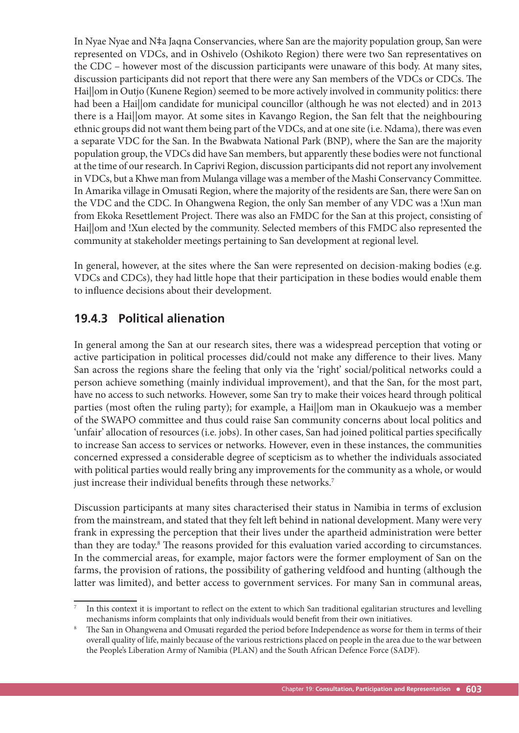In Nyae Nyae and N‡a Jaqna Conservancies, where San are the majority population group, San were represented on VDCs, and in Oshivelo (Oshikoto Region) there were two San representatives on the CDC – however most of the discussion participants were unaware of this body. At many sites, discussion participants did not report that there were any San members of the VDCs or CDCs. The Hai||om in Outjo (Kunene Region) seemed to be more actively involved in community politics: there had been a Hai||om candidate for municipal councillor (although he was not elected) and in 2013 there is a Hai||om mayor. At some sites in Kavango Region, the San felt that the neighbouring ethnic groups did not want them being part of the VDCs, and at one site (i.e. Ndama), there was even a separate VDC for the San. In the Bwabwata National Park (BNP), where the San are the majority population group, the VDCs did have San members, but apparently these bodies were not functional at the time of our research. In Caprivi Region, discussion participants did not report any involvement in VDCs, but a Khwe man from Mulanga village was a member of the Mashi Conservancy Committee. In Amarika village in Omusati Region, where the majority of the residents are San, there were San on the VDC and the CDC. In Ohangwena Region, the only San member of any VDC was a !Xun man from Ekoka Resettlement Project. There was also an FMDC for the San at this project, consisting of Hai||om and !Xun elected by the community. Selected members of this FMDC also represented the community at stakeholder meetings pertaining to San development at regional level.

In general, however, at the sites where the San were represented on decision-making bodies (e.g. VDCs and CDCs), they had little hope that their participation in these bodies would enable them to influence decisions about their development.

### **19.4.3 Political alienation**

In general among the San at our research sites, there was a widespread perception that voting or active participation in political processes did/could not make any difference to their lives. Many San across the regions share the feeling that only via the 'right' social/political networks could a person achieve something (mainly individual improvement), and that the San, for the most part, have no access to such networks. However, some San try to make their voices heard through political parties (most often the ruling party); for example, a Haillom man in Okaukuejo was a member of the SWAPO committee and thus could raise San community concerns about local politics and 'unfair' allocation of resources (i.e. jobs). In other cases, San had joined political parties specifically to increase San access to services or networks. However, even in these instances, the communities concerned expressed a considerable degree of scepticism as to whether the individuals associated with political parties would really bring any improvements for the community as a whole, or would just increase their individual benefits through these networks.<sup>7</sup>

Discussion participants at many sites characterised their status in Namibia in terms of exclusion from the mainstream, and stated that they felt left behind in national development. Many were very frank in expressing the perception that their lives under the apartheid administration were better than they are today.<sup>8</sup> The reasons provided for this evaluation varied according to circumstances. In the commercial areas, for example, major factors were the former employment of San on the farms, the provision of rations, the possibility of gathering veldfood and hunting (although the latter was limited), and better access to government services. For many San in communal areas,

<sup>7</sup> In this context it is important to reflect on the extent to which San traditional egalitarian structures and levelling mechanisms inform complaints that only individuals would benefi t from their own initiatives.

<sup>8</sup> The San in Ohangwena and Omusati regarded the period before Independence as worse for them in terms of their overall quality of life, mainly because of the various restrictions placed on people in the area due to the war between the People's Liberation Army of Namibia (PLAN) and the South African Defence Force (SADF).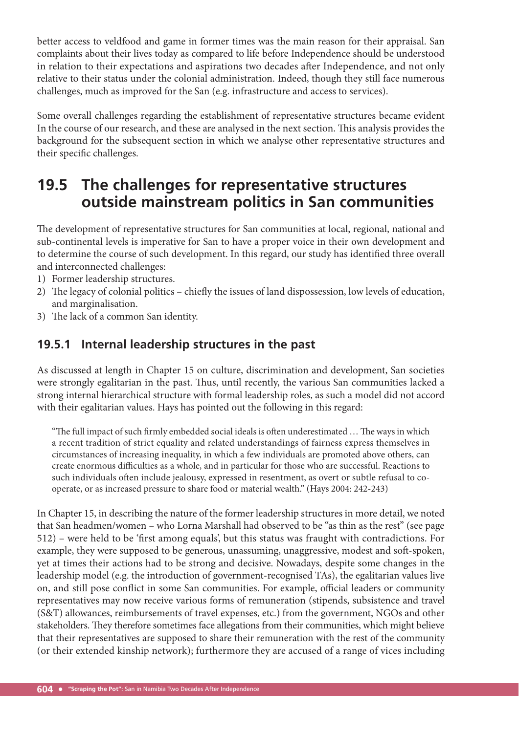better access to veldfood and game in former times was the main reason for their appraisal. San complaints about their lives today as compared to life before Independence should be understood in relation to their expectations and aspirations two decades after Independence, and not only relative to their status under the colonial administration. Indeed, though they still face numerous challenges, much as improved for the San (e.g. infrastructure and access to services).

Some overall challenges regarding the establishment of representative structures became evident In the course of our research, and these are analysed in the next section. This analysis provides the background for the subsequent section in which we analyse other representative structures and their specific challenges.

# **19.5 The challenges for representative structures outside mainstream politics in San communities**

The development of representative structures for San communities at local, regional, national and sub-continental levels is imperative for San to have a proper voice in their own development and to determine the course of such development. In this regard, our study has identified three overall and interconnected challenges:

- 1) Former leadership structures.
- 2) The legacy of colonial politics chiefly the issues of land dispossession, low levels of education, and marginalisation.
- 3) The lack of a common San identity.

### **19.5.1 Internal leadership structures in the past**

As discussed at length in Chapter 15 on culture, discrimination and development, San societies were strongly egalitarian in the past. Thus, until recently, the various San communities lacked a strong internal hierarchical structure with formal leadership roles, as such a model did not accord with their egalitarian values. Hays has pointed out the following in this regard:

"The full impact of such firmly embedded social ideals is often underestimated ... The ways in which a recent tradition of strict equality and related understandings of fairness express themselves in circumstances of increasing inequality, in which a few individuals are promoted above others, can create enormous difficulties as a whole, and in particular for those who are successful. Reactions to such individuals often include jealousy, expressed in resentment, as overt or subtle refusal to cooperate, or as increased pressure to share food or material wealth." (Hays 2004: 242-243)

In Chapter 15, in describing the nature of the former leadership structures in more detail, we noted that San headmen/women – who Lorna Marshall had observed to be "as thin as the rest" (see page 512) – were held to be 'first among equals', but this status was fraught with contradictions. For example, they were supposed to be generous, unassuming, unaggressive, modest and soft -spoken, yet at times their actions had to be strong and decisive. Nowadays, despite some changes in the leadership model (e.g. the introduction of government-recognised TAs), the egalitarian values live on, and still pose conflict in some San communities. For example, official leaders or community representatives may now receive various forms of remuneration (stipends, subsistence and travel (S&T) allowances, reimbursements of travel expenses, etc.) from the government, NGOs and other stakeholders. They therefore sometimes face allegations from their communities, which might believe that their representatives are supposed to share their remuneration with the rest of the community (or their extended kinship network); furthermore they are accused of a range of vices including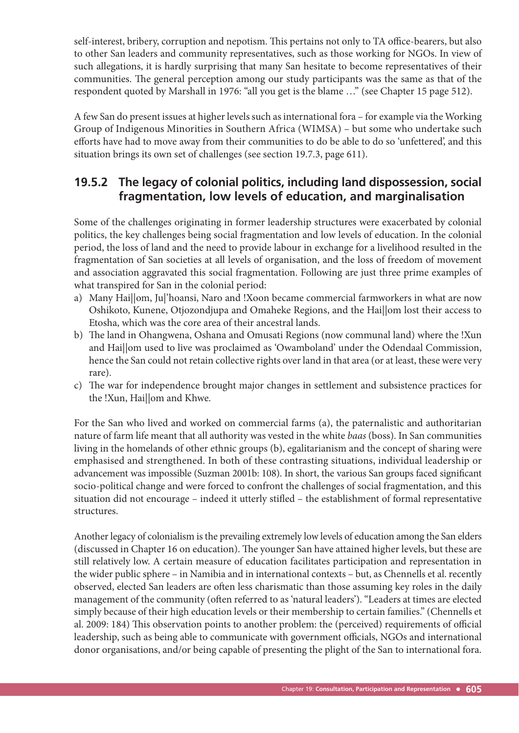self-interest, bribery, corruption and nepotism. This pertains not only to TA office-bearers, but also to other San leaders and community representatives, such as those working for NGOs. In view of such allegations, it is hardly surprising that many San hesitate to become representatives of their communities. The general perception among our study participants was the same as that of the respondent quoted by Marshall in 1976: "all you get is the blame …" (see Chapter 15 page 512).

A few San do present issues at higher levels such as international fora – for example via the Working Group of Indigenous Minorities in Southern Africa (WIMSA) – but some who undertake such efforts have had to move away from their communities to do be able to do so 'unfettered', and this situation brings its own set of challenges (see section 19.7.3, page 611).

#### **19.5.2 The legacy of colonial politics, including land dispossession, social fragmentation, low levels of education, and marginalisation**

Some of the challenges originating in former leadership structures were exacerbated by colonial politics, the key challenges being social fragmentation and low levels of education. In the colonial period, the loss of land and the need to provide labour in exchange for a livelihood resulted in the fragmentation of San societies at all levels of organisation, and the loss of freedom of movement and association aggravated this social fragmentation. Following are just three prime examples of what transpired for San in the colonial period:

- a) Many Hai||om, Ju|'hoansi, Naro and !Xoon became commercial farmworkers in what are now Oshikoto, Kunene, Otjozondjupa and Omaheke Regions, and the Hai||om lost their access to Etosha, which was the core area of their ancestral lands.
- b) The land in Ohangwena, Oshana and Omusati Regions (now communal land) where the !Xun and Hai||om used to live was proclaimed as 'Owamboland' under the Odendaal Commission, hence the San could not retain collective rights over land in that area (or at least, these were very rare).
- c) The war for independence brought major changes in settlement and subsistence practices for the !Xun, Hai||om and Khwe.

For the San who lived and worked on commercial farms (a), the paternalistic and authoritarian nature of farm life meant that all authority was vested in the white *baas* (boss). In San communities living in the homelands of other ethnic groups (b), egalitarianism and the concept of sharing were emphasised and strengthened. In both of these contrasting situations, individual leadership or advancement was impossible (Suzman 2001b: 108). In short, the various San groups faced significant socio-political change and were forced to confront the challenges of social fragmentation, and this situation did not encourage - indeed it utterly stifled - the establishment of formal representative structures.

Another legacy of colonialism is the prevailing extremely low levels of education among the San elders (discussed in Chapter 16 on education). The younger San have attained higher levels, but these are still relatively low. A certain measure of education facilitates participation and representation in the wider public sphere – in Namibia and in international contexts – but, as Chennells et al. recently observed, elected San leaders are often less charismatic than those assuming key roles in the daily management of the community (often referred to as 'natural leaders'). "Leaders at times are elected simply because of their high education levels or their membership to certain families." (Chennells et al. 2009: 184) This observation points to another problem: the (perceived) requirements of official leadership, such as being able to communicate with government officials, NGOs and international donor organisations, and/or being capable of presenting the plight of the San to international fora.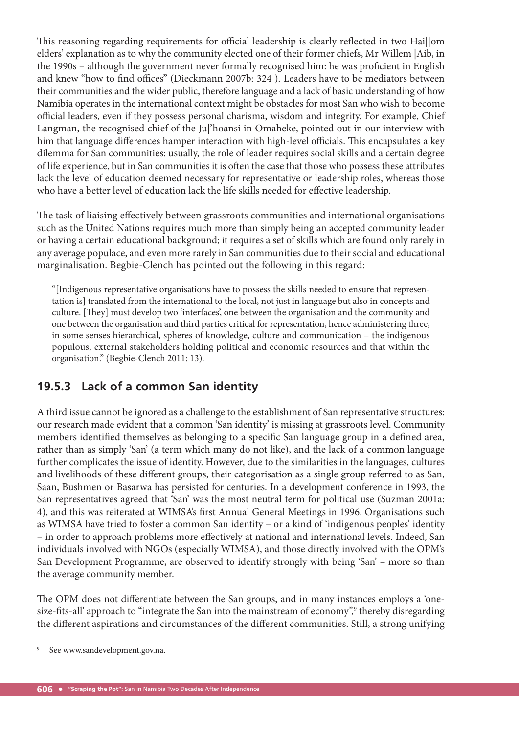This reasoning regarding requirements for official leadership is clearly reflected in two Hai||om elders' explanation as to why the community elected one of their former chiefs, Mr Willem |Aib, in the 1990s - although the government never formally recognised him: he was proficient in English and knew "how to find offices" (Dieckmann 2007b: 324). Leaders have to be mediators between their communities and the wider public, therefore language and a lack of basic understanding of how Namibia operates in the international context might be obstacles for most San who wish to become official leaders, even if they possess personal charisma, wisdom and integrity. For example, Chief Langman, the recognised chief of the Ju|'hoansi in Omaheke, pointed out in our interview with him that language differences hamper interaction with high-level officials. This encapsulates a key dilemma for San communities: usually, the role of leader requires social skills and a certain degree of life experience, but in San communities it is often the case that those who possess these attributes lack the level of education deemed necessary for representative or leadership roles, whereas those who have a better level of education lack the life skills needed for effective leadership.

The task of liaising effectively between grassroots communities and international organisations such as the United Nations requires much more than simply being an accepted community leader or having a certain educational background; it requires a set of skills which are found only rarely in any average populace, and even more rarely in San communities due to their social and educational marginalisation. Begbie-Clench has pointed out the following in this regard:

"[Indigenous representative organisations have to possess the skills needed to ensure that representation is] translated from the international to the local, not just in language but also in concepts and culture. [They] must develop two 'interfaces', one between the organisation and the community and one between the organisation and third parties critical for representation, hence administering three, in some senses hierarchical, spheres of knowledge, culture and communication – the indigenous populous, external stakeholders holding political and economic resources and that within the organisation." (Begbie-Clench 2011: 13).

### **19.5.3 Lack of a common San identity**

A third issue cannot be ignored as a challenge to the establishment of San representative structures: our research made evident that a common 'San identity' is missing at grassroots level. Community members identified themselves as belonging to a specific San language group in a defined area, rather than as simply 'San' (a term which many do not like), and the lack of a common language further complicates the issue of identity. However, due to the similarities in the languages, cultures and livelihoods of these different groups, their categorisation as a single group referred to as San, Saan, Bushmen or Basarwa has persisted for centuries. In a development conference in 1993, the San representatives agreed that 'San' was the most neutral term for political use (Suzman 2001a: 4), and this was reiterated at WIMSA's first Annual General Meetings in 1996. Organisations such as WIMSA have tried to foster a common San identity – or a kind of 'indigenous peoples' identity – in order to approach problems more effectively at national and international levels. Indeed, San individuals involved with NGOs (especially WIMSA), and those directly involved with the OPM's San Development Programme, are observed to identify strongly with being 'San' – more so than the average community member.

The OPM does not differentiate between the San groups, and in many instances employs a 'onesize-fits-all' approach to "integrate the San into the mainstream of economy", thereby disregarding the different aspirations and circumstances of the different communities. Still, a strong unifying

<sup>9</sup> See www.sandevelopment.gov.na.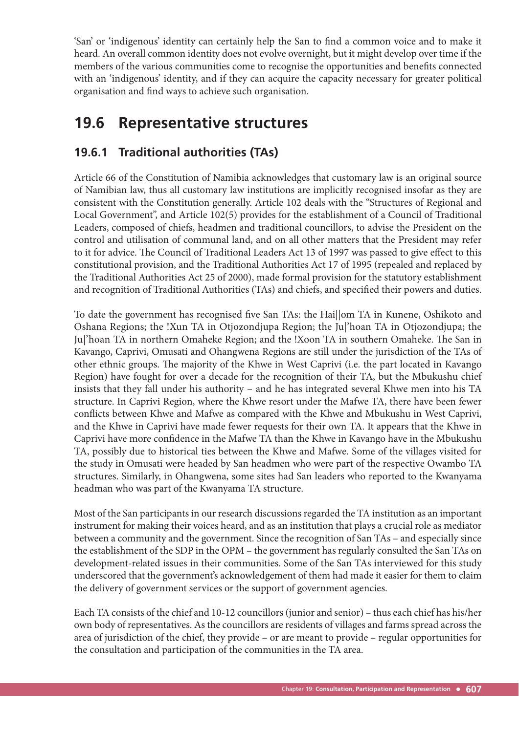'San' or 'indigenous' identity can certainly help the San to find a common voice and to make it heard. An overall common identity does not evolve overnight, but it might develop over time if the members of the various communities come to recognise the opportunities and benefits connected with an 'indigenous' identity, and if they can acquire the capacity necessary for greater political organisation and find ways to achieve such organisation.

# **19.6 Representative structures**

### **19.6.1 Traditional authorities (TAs)**

Article 66 of the Constitution of Namibia acknowledges that customary law is an original source of Namibian law, thus all customary law institutions are implicitly recognised insofar as they are consistent with the Constitution generally. Article 102 deals with the "Structures of Regional and Local Government", and Article 102(5) provides for the establishment of a Council of Traditional Leaders, composed of chiefs, headmen and traditional councillors, to advise the President on the control and utilisation of communal land, and on all other matters that the President may refer to it for advice. The Council of Traditional Leaders Act 13 of 1997 was passed to give effect to this constitutional provision, and the Traditional Authorities Act 17 of 1995 (repealed and replaced by the Traditional Authorities Act 25 of 2000), made formal provision for the statutory establishment and recognition of Traditional Authorities (TAs) and chiefs, and specified their powers and duties.

To date the government has recognised five San TAs: the Hai||om TA in Kunene, Oshikoto and Oshana Regions; the !Xun TA in Otjozondjupa Region; the Ju|'hoan TA in Otjozondjupa; the Ju|'hoan TA in northern Omaheke Region; and the !Xoon TA in southern Omaheke. The San in Kavango, Caprivi, Omusati and Ohangwena Regions are still under the jurisdiction of the TAs of other ethnic groups. The majority of the Khwe in West Caprivi (i.e. the part located in Kavango Region) have fought for over a decade for the recognition of their TA, but the Mbukushu chief insists that they fall under his authority – and he has integrated several Khwe men into his TA structure. In Caprivi Region, where the Khwe resort under the Mafwe TA, there have been fewer conflicts between Khwe and Mafwe as compared with the Khwe and Mbukushu in West Caprivi, and the Khwe in Caprivi have made fewer requests for their own TA. It appears that the Khwe in Caprivi have more confidence in the Mafwe TA than the Khwe in Kavango have in the Mbukushu TA, possibly due to historical ties between the Khwe and Mafwe. Some of the villages visited for the study in Omusati were headed by San headmen who were part of the respective Owambo TA structures. Similarly, in Ohangwena, some sites had San leaders who reported to the Kwanyama headman who was part of the Kwanyama TA structure.

Most of the San participants in our research discussions regarded the TA institution as an important instrument for making their voices heard, and as an institution that plays a crucial role as mediator between a community and the government. Since the recognition of San TAs – and especially since the establishment of the SDP in the OPM – the government has regularly consulted the San TAs on development-related issues in their communities. Some of the San TAs interviewed for this study underscored that the government's acknowledgement of them had made it easier for them to claim the delivery of government services or the support of government agencies.

Each TA consists of the chief and 10-12 councillors (junior and senior) – thus each chief has his/her own body of representatives. As the councillors are residents of villages and farms spread across the area of jurisdiction of the chief, they provide – or are meant to provide – regular opportunities for the consultation and participation of the communities in the TA area.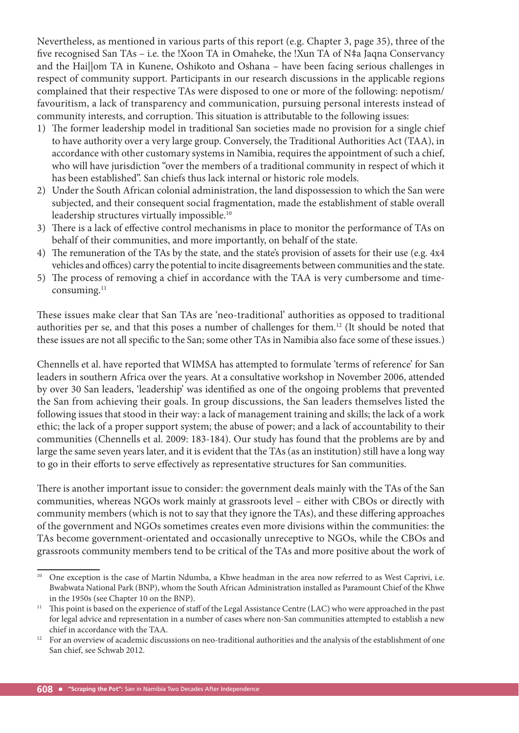Nevertheless, as mentioned in various parts of this report (e.g. Chapter 3, page 35), three of the five recognised San TAs – i.e. the !Xoon TA in Omaheke, the !Xun TA of N‡a Jaqna Conservancy and the Hai||om TA in Kunene, Oshikoto and Oshana – have been facing serious challenges in respect of community support. Participants in our research discussions in the applicable regions complained that their respective TAs were disposed to one or more of the following: nepotism/ favouritism, a lack of transparency and communication, pursuing personal interests instead of community interests, and corruption. This situation is attributable to the following issues:

- 1) The former leadership model in traditional San societies made no provision for a single chief to have authority over a very large group. Conversely, the Traditional Authorities Act (TAA), in accordance with other customary systems in Namibia, requires the appointment of such a chief, who will have jurisdiction "over the members of a traditional community in respect of which it has been established". San chiefs thus lack internal or historic role models.
- 2) Under the South African colonial administration, the land dispossession to which the San were subjected, and their consequent social fragmentation, made the establishment of stable overall leadership structures virtually impossible.10
- 3) There is a lack of effective control mechanisms in place to monitor the performance of TAs on behalf of their communities, and more importantly, on behalf of the state.
- 4) The remuneration of the TAs by the state, and the state's provision of assets for their use (e.g. 4x4) vehicles and offices) carry the potential to incite disagreements between communities and the state.
- 5) The process of removing a chief in accordance with the TAA is very cumbersome and timeconsuming.<sup>11</sup>

These issues make clear that San TAs are 'neo-traditional' authorities as opposed to traditional authorities per se, and that this poses a number of challenges for them.12 (It should be noted that these issues are not all specific to the San; some other TAs in Namibia also face some of these issues.)

Chennells et al. have reported that WIMSA has attempted to formulate 'terms of reference' for San leaders in southern Africa over the years. At a consultative workshop in November 2006, attended by over 30 San leaders, 'leadership' was identified as one of the ongoing problems that prevented the San from achieving their goals. In group discussions, the San leaders themselves listed the following issues that stood in their way: a lack of management training and skills; the lack of a work ethic; the lack of a proper support system; the abuse of power; and a lack of accountability to their communities (Chennells et al. 2009: 183-184). Our study has found that the problems are by and large the same seven years later, and it is evident that the TAs (as an institution) still have a long way to go in their efforts to serve effectively as representative structures for San communities.

There is another important issue to consider: the government deals mainly with the TAs of the San communities, whereas NGOs work mainly at grassroots level – either with CBOs or directly with community members (which is not to say that they ignore the TAs), and these differing approaches of the government and NGOs sometimes creates even more divisions within the communities: the TAs become government-orientated and occasionally unreceptive to NGOs, while the CBOs and grassroots community members tend to be critical of the TAs and more positive about the work of

<sup>&</sup>lt;sup>10</sup> One exception is the case of Martin Ndumba, a Khwe headman in the area now referred to as West Caprivi, i.e. Bwabwata National Park (BNP), whom the South African Administration installed as Paramount Chief of the Khwe in the 1950s (see Chapter 10 on the BNP).

<sup>&</sup>lt;sup>11</sup> This point is based on the experience of staff of the Legal Assistance Centre (LAC) who were approached in the past for legal advice and representation in a number of cases where non-San communities attempted to establish a new chief in accordance with the TAA.

<sup>&</sup>lt;sup>12</sup> For an overview of academic discussions on neo-traditional authorities and the analysis of the establishment of one San chief, see Schwab 2012.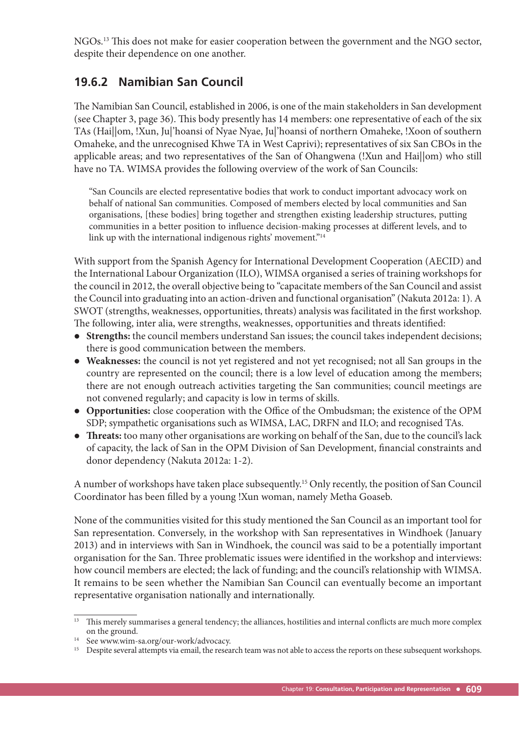NGOs.<sup>13</sup> This does not make for easier cooperation between the government and the NGO sector, despite their dependence on one another.

### **19.6.2 Namibian San Council**

The Namibian San Council, established in 2006, is one of the main stakeholders in San development (see Chapter 3, page 36). This body presently has 14 members: one representative of each of the six TAs (Hai||om, !Xun, Ju|'hoansi of Nyae Nyae, Ju|'hoansi of northern Omaheke, !Xoon of southern Omaheke, and the unrecognised Khwe TA in West Caprivi); representatives of six San CBOs in the applicable areas; and two representatives of the San of Ohangwena (!Xun and Hai||om) who still have no TA. WIMSA provides the following overview of the work of San Councils:

"San Councils are elected representative bodies that work to conduct important advocacy work on behalf of national San communities. Composed of members elected by local communities and San organisations, [these bodies] bring together and strengthen existing leadership structures, putting communities in a better position to influence decision-making processes at different levels, and to link up with the international indigenous rights' movement."<sup>14</sup>

With support from the Spanish Agency for International Development Cooperation (AECID) and the International Labour Organization (ILO), WIMSA organised a series of training workshops for the council in 2012, the overall objective being to "capacitate members of the San Council and assist the Council into graduating into an action-driven and functional organisation" (Nakuta 2012a: 1). A SWOT (strengths, weaknesses, opportunities, threats) analysis was facilitated in the first workshop. The following, inter alia, were strengths, weaknesses, opportunities and threats identified:

- **Strengths:** the council members understand San issues; the council takes independent decisions; there is good communication between the members.
- **Weaknesses:** the council is not yet registered and not yet recognised; not all San groups in the country are represented on the council; there is a low level of education among the members; there are not enough outreach activities targeting the San communities; council meetings are not convened regularly; and capacity is low in terms of skills.
- Opportunities: close cooperation with the Office of the Ombudsman; the existence of the OPM SDP; sympathetic organisations such as WIMSA, LAC, DRFN and ILO; and recognised TAs.
- **Threats:** too many other organisations are working on behalf of the San, due to the council's lack of capacity, the lack of San in the OPM Division of San Development, financial constraints and donor dependency (Nakuta 2012a: 1-2).

A number of workshops have taken place subsequently.15 Only recently, the position of San Council Coordinator has been filled by a young !Xun woman, namely Metha Goaseb.

None of the communities visited for this study mentioned the San Council as an important tool for San representation. Conversely, in the workshop with San representatives in Windhoek (January 2013) and in interviews with San in Windhoek, the council was said to be a potentially important organisation for the San. Three problematic issues were identified in the workshop and interviews: how council members are elected; the lack of funding; and the council's relationship with WIMSA. It remains to be seen whether the Namibian San Council can eventually become an important representative organisation nationally and internationally.

<sup>&</sup>lt;sup>13</sup> This merely summarises a general tendency; the alliances, hostilities and internal conflicts are much more complex on the ground.

<sup>&</sup>lt;sup>14</sup> See www.wim-sa.org/our-work/advocacy.<br><sup>15</sup> Despite several attempts via email, the resea

<sup>15</sup> Despite several attempts via email, the research team was not able to access the reports on these subsequent workshops.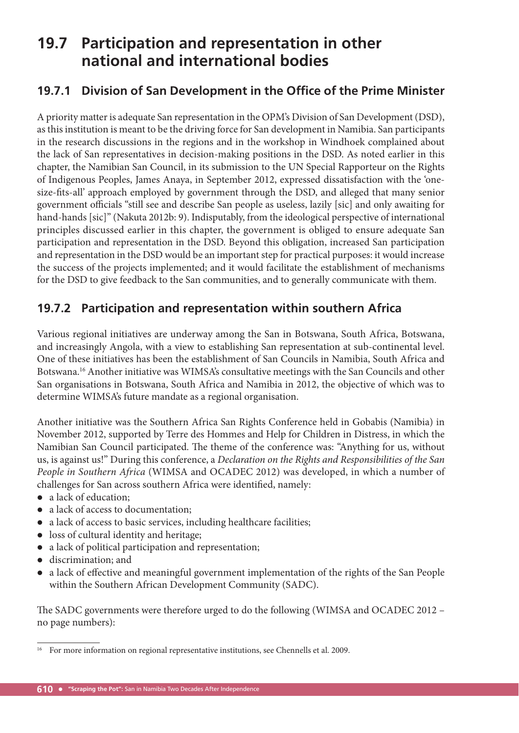## **19.7 Participation and representation in other national and international bodies**

### **19.7.1 Division of San Development in the Office of the Prime Minister**

A priority matter is adequate San representation in the OPM's Division of San Development (DSD), as this institution is meant to be the driving force for San development in Namibia. San participants in the research discussions in the regions and in the workshop in Windhoek complained about the lack of San representatives in decision-making positions in the DSD. As noted earlier in this chapter, the Namibian San Council, in its submission to the UN Special Rapporteur on the Rights of Indigenous Peoples, James Anaya, in September 2012, expressed dissatisfaction with the 'onesize-fits-all' approach employed by government through the DSD, and alleged that many senior government officials "still see and describe San people as useless, lazily [sic] and only awaiting for hand-hands [sic]" (Nakuta 2012b: 9). Indisputably, from the ideological perspective of international principles discussed earlier in this chapter, the government is obliged to ensure adequate San participation and representation in the DSD. Beyond this obligation, increased San participation and representation in the DSD would be an important step for practical purposes: it would increase the success of the projects implemented; and it would facilitate the establishment of mechanisms for the DSD to give feedback to the San communities, and to generally communicate with them.

### **19.7.2 Participation and representation within southern Africa**

Various regional initiatives are underway among the San in Botswana, South Africa, Botswana, and increasingly Angola, with a view to establishing San representation at sub-continental level. One of these initiatives has been the establishment of San Councils in Namibia, South Africa and Botswana.16 Another initiative was WIMSA's consultative meetings with the San Councils and other San organisations in Botswana, South Africa and Namibia in 2012, the objective of which was to determine WIMSA's future mandate as a regional organisation.

Another initiative was the Southern Africa San Rights Conference held in Gobabis (Namibia) in November 2012, supported by Terre des Hommes and Help for Children in Distress, in which the Namibian San Council participated. The theme of the conference was: "Anything for us, without us, is against us!" During this conference, a *Declaration on the Rights and Responsibilities of the San People in Southern Africa* (WIMSA and OCADEC 2012) was developed, in which a number of challenges for San across southern Africa were identified, namely:

- a lack of education;
- a lack of access to documentation;
- a lack of access to basic services, including healthcare facilities;
- loss of cultural identity and heritage;
- a lack of political participation and representation;
- discrimination; and
- a lack of effective and meaningful government implementation of the rights of the San People within the Southern African Development Community (SADC).

The SADC governments were therefore urged to do the following (WIMSA and OCADEC 2012 no page numbers):

<sup>&</sup>lt;sup>16</sup> For more information on regional representative institutions, see Chennells et al. 2009.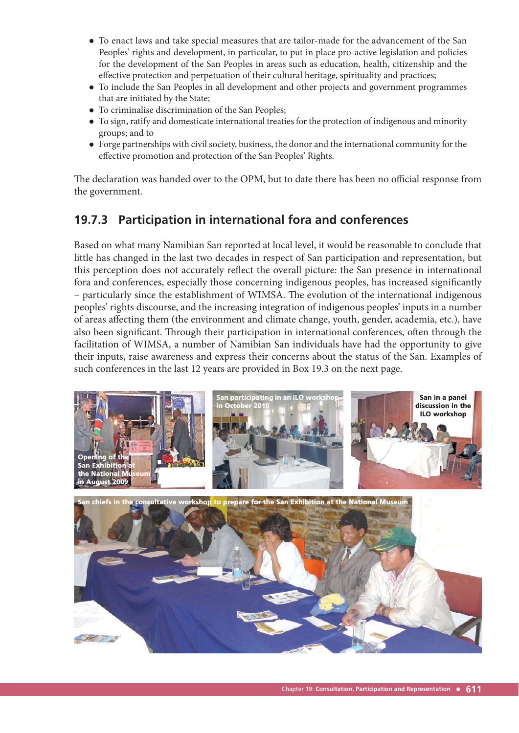- To enact laws and take special measures that are tailor-made for the advancement of the San Peoples' rights and development, in particular, to put in place pro-active legislation and policies for the development of the San Peoples in areas such as education, health, citizenship and the effective protection and perpetuation of their cultural heritage, spirituality and practices;
- To include the San Peoples in all development and other projects and government programmes that are initiated by the State;
- To criminalise discrimination of the San Peoples;
- To sign, ratify and domesticate international treaties for the protection of indigenous and minority groups; and to
- Forge partnerships with civil society, business, the donor and the international community for the effective promotion and protection of the San Peoples' Rights.

The declaration was handed over to the OPM, but to date there has been no official response from the government.

### **19.7.3 Participation in international fora and conferences**

Based on what many Namibian San reported at local level, it would be reasonable to conclude that little has changed in the last two decades in respect of San participation and representation, but this perception does not accurately reflect the overall picture: the San presence in international fora and conferences, especially those concerning indigenous peoples, has increased significantly – particularly since the establishment of WIMSA. The evolution of the international indigenous peoples' rights discourse, and the increasing integration of indigenous peoples' inputs in a number of areas affecting them (the environment and climate change, youth, gender, academia, etc.), have also been significant. Through their participation in international conferences, often through the facilitation of WIMSA, a number of Namibian San individuals have had the opportunity to give their inputs, raise awareness and express their concerns about the status of the San. Examples of such conferences in the last 12 years are provided in Box 19.3 on the next page.

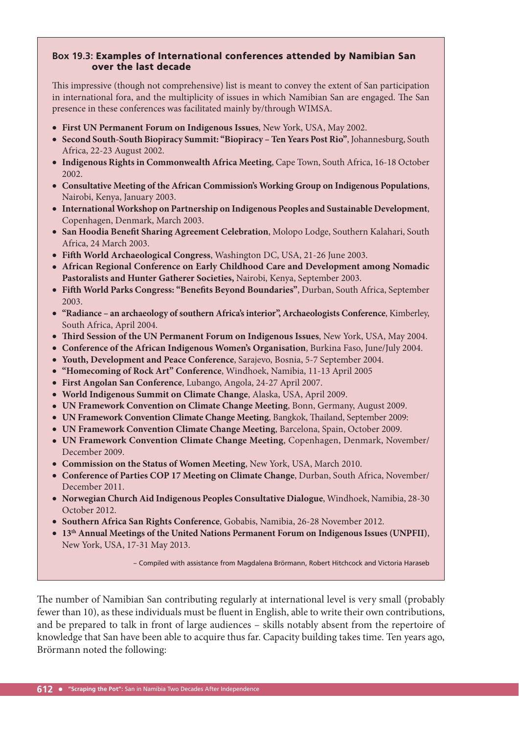#### **Box 19.3:** Examples of International conferences attended by Namibian San over the last decade

This impressive (though not comprehensive) list is meant to convey the extent of San participation in international fora, and the multiplicity of issues in which Namibian San are engaged. The San presence in these conferences was facilitated mainly by/through WIMSA.

- **First UN Permanent Forum on Indigenous Issues**, New York, USA, May 2002.
- **Second South-South Biopiracy Summit: "Biopiracy Ten Years Post Rio"**, Johannesburg, South Africa, 22-23 August 2002.
- **Indigenous Rights in Commonwealth Africa Meeting**, Cape Town, South Africa, 16-18 October 2002.
- **Consultative Meeting of the African Commission's Working Group on Indigenous Populations**, Nairobi, Kenya, January 2003.
- **International Workshop on Partnership on Indigenous Peoples and Sustainable Development**, Copenhagen, Denmark, March 2003.
- **San Hoodia Benefit Sharing Agreement Celebration**, Molopo Lodge, Southern Kalahari, South Africa, 24 March 2003.
- Fifth World Archaeological Congress, Washington DC, USA, 21-26 June 2003.
- **African Regional Conference on Early Childhood Care and Development among Nomadic Pastoralists and Hunter Gatherer Societies,** Nairobi, Kenya, September 2003.
- **Fifth World Parks Congress: "Benefits Beyond Boundaries"**, Durban, South Africa, September 2003.
- **"Radiance an archaeology of southern Africa's interior", Archaeologists Conference**, Kimberley, South Africa, April 2004.
- **Third Session of the UN Permanent Forum on Indigenous Issues**, New York, USA, May 2004.
- **Conference of the African Indigenous Women's Organisation**, Burkina Faso, June/July 2004.
- **Youth, Development and Peace Conference**, Sarajevo, Bosnia, 5-7 September 2004.
- **"Homecoming of Rock Art" Conference**, Windhoek, Namibia, 11-13 April 2005
- **First Angolan San Conference**, Lubango, Angola, 24-27 April 2007.
- **World Indigenous Summit on Climate Change**, Alaska, USA, April 2009.
- **UN Framework Convention on Climate Change Meeting**, Bonn, Germany, August 2009.
- **UN Framework Convention Climate Change Meeting**, Bangkok, Thailand, September 2009:
- **UN Framework Convention Climate Change Meeting**, Barcelona, Spain, October 2009.
- **UN Framework Convention Climate Change Meeting**, Copenhagen, Denmark, November/ December 2009.
- **Commission on the Status of Women Meeting**, New York, USA, March 2010.
- **Conference of Parties COP 17 Meeting on Climate Change**, Durban, South Africa, November/ December 2011.
- **Norwegian Church Aid Indigenous Peoples Consultative Dialogue**, Windhoek, Namibia, 28-30 October 2012.
- **Southern Africa San Rights Conference**, Gobabis, Namibia, 26-28 November 2012.
- **13th Annual Meetings of the United Nations Permanent Forum on Indigenous Issues (UNPFII)**, New York, USA, 17-31 May 2013.

– Compiled with assistance from Magdalena Brörmann, Robert Hitchcock and Victoria Haraseb

The number of Namibian San contributing regularly at international level is very small (probably fewer than 10), as these individuals must be fluent in English, able to write their own contributions, and be prepared to talk in front of large audiences – skills notably absent from the repertoire of knowledge that San have been able to acquire thus far. Capacity building takes time. Ten years ago, Brörmann noted the following: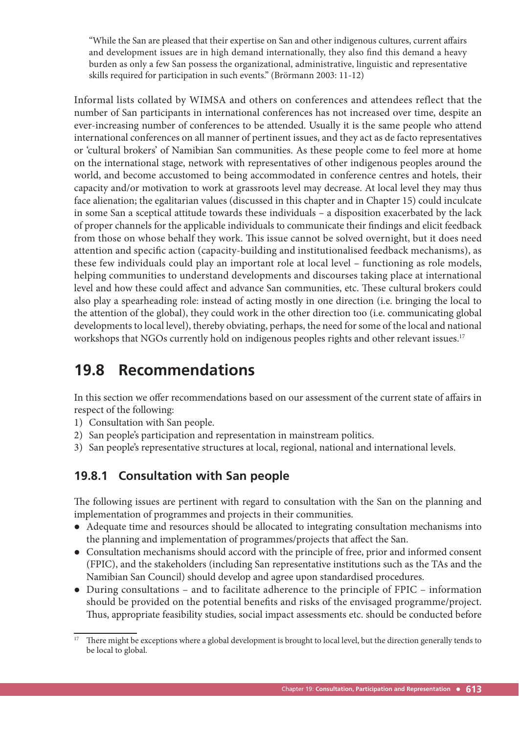"While the San are pleased that their expertise on San and other indigenous cultures, current affairs and development issues are in high demand internationally, they also find this demand a heavy burden as only a few San possess the organizational, administrative, linguistic and representative skills required for participation in such events." (Brörmann 2003: 11-12)

Informal lists collated by WIMSA and others on conferences and attendees reflect that the number of San participants in international conferences has not increased over time, despite an ever-increasing number of conferences to be attended. Usually it is the same people who attend international conferences on all manner of pertinent issues, and they act as de facto representatives or 'cultural brokers' of Namibian San communities. As these people come to feel more at home on the international stage, network with representatives of other indigenous peoples around the world, and become accustomed to being accommodated in conference centres and hotels, their capacity and/or motivation to work at grassroots level may decrease. At local level they may thus face alienation; the egalitarian values (discussed in this chapter and in Chapter 15) could inculcate in some San a sceptical attitude towards these individuals – a disposition exacerbated by the lack of proper channels for the applicable individuals to communicate their findings and elicit feedback from those on whose behalf they work. This issue cannot be solved overnight, but it does need attention and specific action (capacity-building and institutionalised feedback mechanisms), as these few individuals could play an important role at local level – functioning as role models, helping communities to understand developments and discourses taking place at international level and how these could affect and advance San communities, etc. These cultural brokers could also play a spearheading role: instead of acting mostly in one direction (i.e. bringing the local to the attention of the global), they could work in the other direction too (i.e. communicating global developments to local level), thereby obviating, perhaps, the need for some of the local and national workshops that NGOs currently hold on indigenous peoples rights and other relevant issues.<sup>17</sup>

# **19.8 Recommendations**

In this section we offer recommendations based on our assessment of the current state of affairs in respect of the following:

- 1) Consultation with San people.
- 2) San people's participation and representation in mainstream politics.
- 3) San people's representative structures at local, regional, national and international levels.

### **19.8.1 Consultation with San people**

The following issues are pertinent with regard to consultation with the San on the planning and implementation of programmes and projects in their communities.

- Adequate time and resources should be allocated to integrating consultation mechanisms into the planning and implementation of programmes/projects that affect the San.
- Consultation mechanisms should accord with the principle of free, prior and informed consent (FPIC), and the stakeholders (including San representative institutions such as the TAs and the Namibian San Council) should develop and agree upon standardised procedures.
- During consultations and to facilitate adherence to the principle of FPIC information should be provided on the potential benefits and risks of the envisaged programme/project. Thus, appropriate feasibility studies, social impact assessments etc. should be conducted before

There might be exceptions where a global development is brought to local level, but the direction generally tends to be local to global.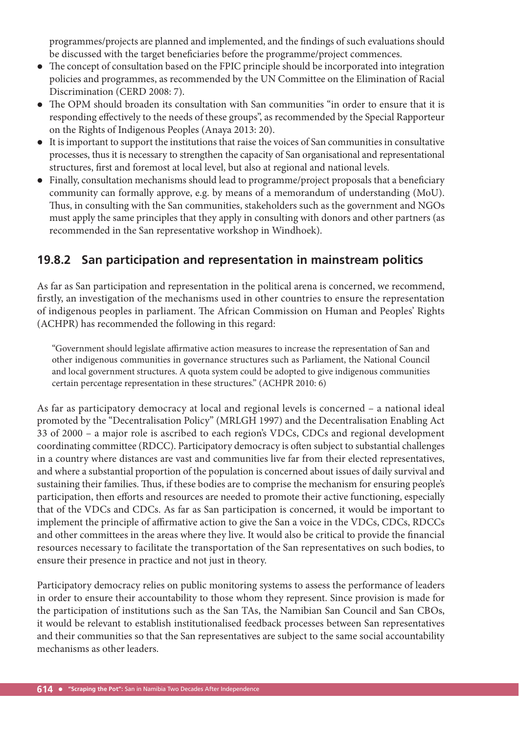programmes/projects are planned and implemented, and the findings of such evaluations should be discussed with the target beneficiaries before the programme/project commences.

- The concept of consultation based on the FPIC principle should be incorporated into integration policies and programmes, as recommended by the UN Committee on the Elimination of Racial Discrimination (CERD 2008: 7).
- The OPM should broaden its consultation with San communities "in order to ensure that it is responding effectively to the needs of these groups", as recommended by the Special Rapporteur on the Rights of Indigenous Peoples (Anaya 2013: 20).
- It is important to support the institutions that raise the voices of San communities in consultative processes, thus it is necessary to strengthen the capacity of San organisational and representational structures, first and foremost at local level, but also at regional and national levels.
- Finally, consultation mechanisms should lead to programme/project proposals that a beneficiary community can formally approve, e.g. by means of a memorandum of understanding (MoU). Thus, in consulting with the San communities, stakeholders such as the government and NGOs must apply the same principles that they apply in consulting with donors and other partners (as recommended in the San representative workshop in Windhoek).

### **19.8.2 San participation and representation in mainstream politics**

As far as San participation and representation in the political arena is concerned, we recommend, firstly, an investigation of the mechanisms used in other countries to ensure the representation of indigenous peoples in parliament. The African Commission on Human and Peoples' Rights (ACHPR) has recommended the following in this regard:

"Government should legislate affirmative action measures to increase the representation of San and other indigenous communities in governance structures such as Parliament, the National Council and local government structures. A quota system could be adopted to give indigenous communities certain percentage representation in these structures." (ACHPR 2010: 6)

As far as participatory democracy at local and regional levels is concerned – a national ideal promoted by the "Decentralisation Policy" (MRLGH 1997) and the Decentralisation Enabling Act 33 of 2000 – a major role is ascribed to each region's VDCs, CDCs and regional development coordinating committee (RDCC). Participatory democracy is often subject to substantial challenges in a country where distances are vast and communities live far from their elected representatives, and where a substantial proportion of the population is concerned about issues of daily survival and sustaining their families. Thus, if these bodies are to comprise the mechanism for ensuring people's participation, then efforts and resources are needed to promote their active functioning, especially that of the VDCs and CDCs. As far as San participation is concerned, it would be important to implement the principle of affirmative action to give the San a voice in the VDCs, CDCs, RDCCs and other committees in the areas where they live. It would also be critical to provide the financial resources necessary to facilitate the transportation of the San representatives on such bodies, to ensure their presence in practice and not just in theory.

Participatory democracy relies on public monitoring systems to assess the performance of leaders in order to ensure their accountability to those whom they represent. Since provision is made for the participation of institutions such as the San TAs, the Namibian San Council and San CBOs, it would be relevant to establish institutionalised feedback processes between San representatives and their communities so that the San representatives are subject to the same social accountability mechanisms as other leaders.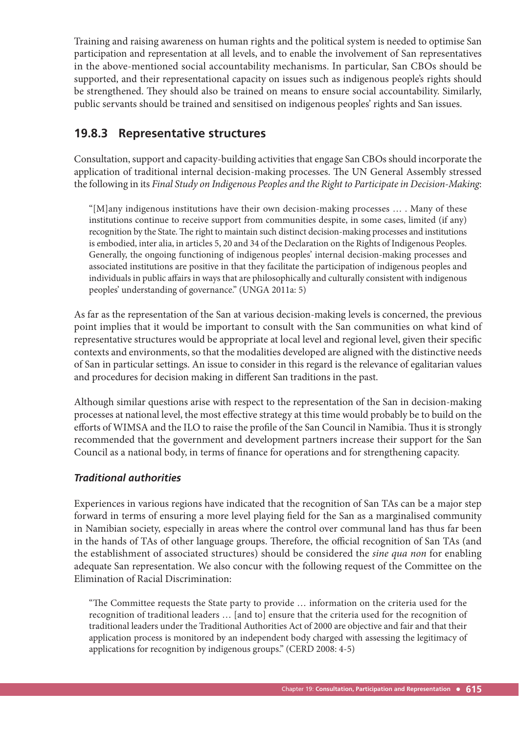Training and raising awareness on human rights and the political system is needed to optimise San participation and representation at all levels, and to enable the involvement of San representatives in the above-mentioned social accountability mechanisms. In particular, San CBOs should be supported, and their representational capacity on issues such as indigenous people's rights should be strengthened. They should also be trained on means to ensure social accountability. Similarly, public servants should be trained and sensitised on indigenous peoples' rights and San issues.

#### **19.8.3 Representative structures**

Consultation, support and capacity-building activities that engage San CBOs should incorporate the application of traditional internal decision-making processes. The UN General Assembly stressed the following in its *Final Study on Indigenous Peoples and the Right to Participate in Decision-Making*:

"[M]any indigenous institutions have their own decision-making processes … . Many of these institutions continue to receive support from communities despite, in some cases, limited (if any) recognition by the State. The right to maintain such distinct decision-making processes and institutions is embodied, inter alia, in articles 5, 20 and 34 of the Declaration on the Rights of Indigenous Peoples. Generally, the ongoing functioning of indigenous peoples' internal decision-making processes and associated institutions are positive in that they facilitate the participation of indigenous peoples and individuals in public affairs in ways that are philosophically and culturally consistent with indigenous peoples' understanding of governance." (UNGA 2011a: 5)

As far as the representation of the San at various decision-making levels is concerned, the previous point implies that it would be important to consult with the San communities on what kind of representative structures would be appropriate at local level and regional level, given their specific contexts and environments, so that the modalities developed are aligned with the distinctive needs of San in particular settings. An issue to consider in this regard is the relevance of egalitarian values and procedures for decision making in different San traditions in the past.

Although similar questions arise with respect to the representation of the San in decision-making processes at national level, the most effective strategy at this time would probably be to build on the efforts of WIMSA and the ILO to raise the profile of the San Council in Namibia. Thus it is strongly recommended that the government and development partners increase their support for the San Council as a national body, in terms of finance for operations and for strengthening capacity.

#### *Traditional authorities*

Experiences in various regions have indicated that the recognition of San TAs can be a major step forward in terms of ensuring a more level playing field for the San as a marginalised community in Namibian society, especially in areas where the control over communal land has thus far been in the hands of TAs of other language groups. Therefore, the official recognition of San TAs (and the establishment of associated structures) should be considered the *sine qua non* for enabling adequate San representation. We also concur with the following request of the Committee on the Elimination of Racial Discrimination:

"The Committee requests the State party to provide ... information on the criteria used for the recognition of traditional leaders … [and to] ensure that the criteria used for the recognition of traditional leaders under the Traditional Authorities Act of 2000 are objective and fair and that their application process is monitored by an independent body charged with assessing the legitimacy of applications for recognition by indigenous groups." (CERD 2008: 4-5)